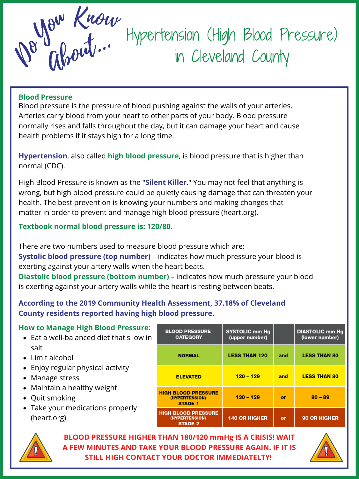#### **Blood Pressure**

Blood pressure is the pressure of blood pushing against the walls of your arteries. Arteries carry blood from your heart to other parts of your body. Blood pressure normally rises and falls throughout the day, but it can damage your heart and cause health problems if it stays high for a long time.

**Hypertension**, also called **high blood pressure**, is blood pressure that is higher than normal (CDC).

## **Textbook normal blood pressure is: 120/80.**

There are two numbers used to measure blood pressure which are:

- Eat a well-balanced diet that's low in salt
- Limit alcohol
- Enjoy regular physical activity
- Manage stress
- Maintain a healthy weight
- Quit smoking
- Take your medications properly (heart.org)

| <b>BLOOD PRESSURE</b><br><b>CATEGORY</b>                       | <b>SYSTOLIC mm Hg</b><br>(upper number) |     | <b>DIASTOLIC mm Hg</b><br>(lower number) |
|----------------------------------------------------------------|-----------------------------------------|-----|------------------------------------------|
| <b>NORMAL</b>                                                  | <b>LESS THAN 120</b>                    | and | <b>LESS THAN 80</b>                      |
| <b>ELEVATED</b>                                                | $120 - 129$                             | and | <b>LESS THAN 80</b>                      |
| <b>HIGH BLOOD PRESSURE</b><br>(HYPERTENSION)<br><b>STAGE 1</b> | $130 - 139$                             | or  | $80 - 89$                                |
| <b>HIGH BLOOD PRESSURE</b><br>(HYPERTENSION)<br><b>STAGE 2</b> | <b>140 OR HIGHER</b>                    | or  | 90 OR HIGHER                             |





**Systolic blood pressure (top number)** – indicates how much pressure your blood is exerting against your artery walls when the heart beats. **Diastolic blood pressure (bottom number)** – indicates how much pressure your blood is exerting against your artery walls while the heart is resting between beats.

|  |  |  |  | <b>How to Manage High Blood Pressure:</b> |
|--|--|--|--|-------------------------------------------|
|--|--|--|--|-------------------------------------------|

High Blood Pressure is known as the "**Silent Killer**." You may not feel that anything is wrong, but high blood pressure could be quietly causing damage that can threaten your health. The best prevention is knowing your numbers and making changes that matter in order to prevent and manage high blood pressure (heart.org).

> **BLOOD PRESSURE HIGHER THAN 180/120 mmHg IS A CRISIS! WAIT A FEW MINUTES AND TAKE YOUR BLOOD PRESSURE AGAIN. IF IT IS STILL HIGH CONTACT YOUR DOCTOR IMMEDIATELTY!**



# **According to the 2019 Community Health Assessment, 37.18% of Cleveland County residents reported having high blood pressure.**